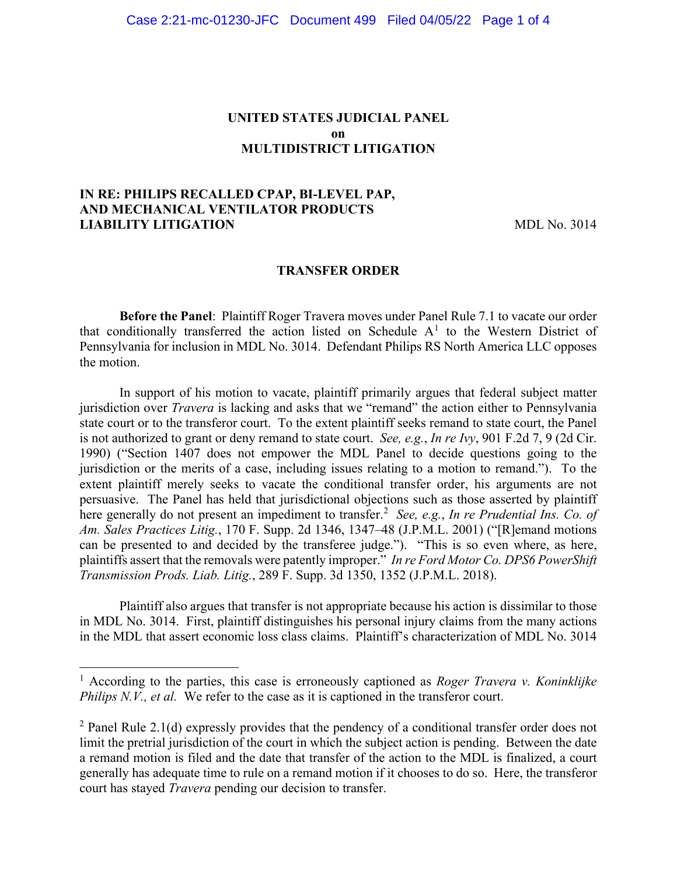### **UNITED STATES JUDICIAL PANEL on MULTIDISTRICT LITIGATION**

# **IN RE: PHILIPS RECALLED CPAP, BI-LEVEL PAP, AND MECHANICAL VENTILATOR PRODUCTS LIABILITY LITIGATION** MDL No. 3014

#### **TRANSFER ORDER**

**Before the Panel**: Plaintiff Roger Travera moves under Panel Rule 7.1 to vacate our order that conditionally transferred the action listed on Schedule  $A<sup>1</sup>$  to the Western District of Pennsylvania for inclusion in MDL No. 3014. Defendant Philips RS North America LLC opposes the motion.

In support of his motion to vacate, plaintiff primarily argues that federal subject matter jurisdiction over *Travera* is lacking and asks that we "remand" the action either to Pennsylvania state court or to the transferor court. To the extent plaintiff seeks remand to state court, the Panel is not authorized to grant or deny remand to state court. *See, e.g.*, *In re Ivy*, 901 F.2d 7, 9 (2d Cir. 1990) ("Section 1407 does not empower the MDL Panel to decide questions going to the jurisdiction or the merits of a case, including issues relating to a motion to remand."). To the extent plaintiff merely seeks to vacate the conditional transfer order, his arguments are not persuasive. The Panel has held that jurisdictional objections such as those asserted by plaintiff here generally do not present an impediment to transfer.<sup>2</sup> *See, e.g.*, *In re Prudential Ins. Co. of Am. Sales Practices Litig.*, 170 F. Supp. 2d 1346, 1347–48 (J.P.M.L. 2001) ("[R]emand motions can be presented to and decided by the transferee judge."). "This is so even where, as here, plaintiffs assert that the removals were patently improper." *In re Ford Motor Co. DPS6 PowerShift Transmission Prods. Liab. Litig.*, 289 F. Supp. 3d 1350, 1352 (J.P.M.L. 2018).

Plaintiff also argues that transfer is not appropriate because his action is dissimilar to those in MDL No. 3014. First, plaintiff distinguishes his personal injury claims from the many actions in the MDL that assert economic loss class claims. Plaintiff's characterization of MDL No. 3014

<sup>1</sup> According to the parties, this case is erroneously captioned as *Roger Travera v. Koninklijke Philips N.V., et al.* We refer to the case as it is captioned in the transferor court.

 $2$  Panel Rule 2.1(d) expressly provides that the pendency of a conditional transfer order does not limit the pretrial jurisdiction of the court in which the subject action is pending. Between the date a remand motion is filed and the date that transfer of the action to the MDL is finalized, a court generally has adequate time to rule on a remand motion if it chooses to do so. Here, the transferor court has stayed *Travera* pending our decision to transfer.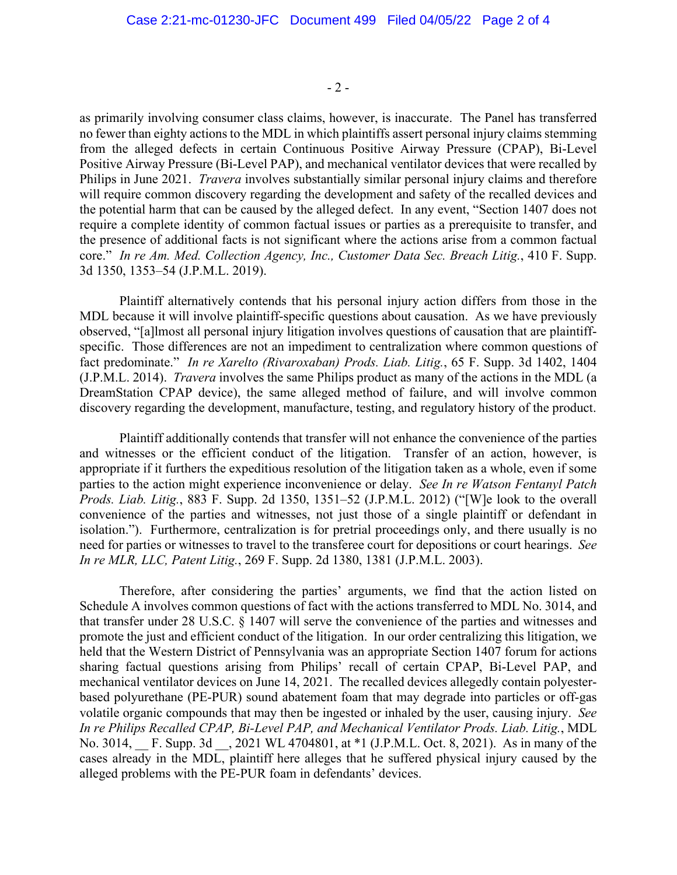$-2-$ 

as primarily involving consumer class claims, however, is inaccurate. The Panel has transferred no fewer than eighty actions to the MDL in which plaintiffs assert personal injury claims stemming from the alleged defects in certain Continuous Positive Airway Pressure (CPAP), Bi-Level Positive Airway Pressure (Bi-Level PAP), and mechanical ventilator devices that were recalled by Philips in June 2021. *Travera* involves substantially similar personal injury claims and therefore will require common discovery regarding the development and safety of the recalled devices and the potential harm that can be caused by the alleged defect. In any event, "Section 1407 does not require a complete identity of common factual issues or parties as a prerequisite to transfer, and the presence of additional facts is not significant where the actions arise from a common factual core." *In re Am. Med. Collection Agency, Inc., Customer Data Sec. Breach Litig.*, 410 F. Supp. 3d 1350, 1353–54 (J.P.M.L. 2019).

Plaintiff alternatively contends that his personal injury action differs from those in the MDL because it will involve plaintiff-specific questions about causation. As we have previously observed, "[a]lmost all personal injury litigation involves questions of causation that are plaintiffspecific. Those differences are not an impediment to centralization where common questions of fact predominate." *In re Xarelto (Rivaroxaban) Prods. Liab. Litig.*, 65 F. Supp. 3d 1402, 1404 (J.P.M.L. 2014). *Travera* involves the same Philips product as many of the actions in the MDL (a DreamStation CPAP device), the same alleged method of failure, and will involve common discovery regarding the development, manufacture, testing, and regulatory history of the product.

Plaintiff additionally contends that transfer will not enhance the convenience of the parties and witnesses or the efficient conduct of the litigation. Transfer of an action, however, is appropriate if it furthers the expeditious resolution of the litigation taken as a whole, even if some parties to the action might experience inconvenience or delay. *See In re Watson Fentanyl Patch Prods. Liab. Litig.*, 883 F. Supp. 2d 1350, 1351–52 (J.P.M.L. 2012) ("[W]e look to the overall convenience of the parties and witnesses, not just those of a single plaintiff or defendant in isolation."). Furthermore, centralization is for pretrial proceedings only, and there usually is no need for parties or witnesses to travel to the transferee court for depositions or court hearings. *See In re MLR, LLC, Patent Litig.*, 269 F. Supp. 2d 1380, 1381 (J.P.M.L. 2003).

Therefore, after considering the parties' arguments, we find that the action listed on Schedule A involves common questions of fact with the actions transferred to MDL No. 3014, and that transfer under 28 U.S.C. § 1407 will serve the convenience of the parties and witnesses and promote the just and efficient conduct of the litigation. In our order centralizing this litigation, we held that the Western District of Pennsylvania was an appropriate Section 1407 forum for actions sharing factual questions arising from Philips' recall of certain CPAP, Bi-Level PAP, and mechanical ventilator devices on June 14, 2021. The recalled devices allegedly contain polyesterbased polyurethane (PE-PUR) sound abatement foam that may degrade into particles or off-gas volatile organic compounds that may then be ingested or inhaled by the user, causing injury. *See In re Philips Recalled CPAP, Bi-Level PAP, and Mechanical Ventilator Prods. Liab. Litig.*, MDL No. 3014, F. Supp. 3d , 2021 WL 4704801, at \*1 (J.P.M.L. Oct. 8, 2021). As in many of the cases already in the MDL, plaintiff here alleges that he suffered physical injury caused by the alleged problems with the PE-PUR foam in defendants' devices.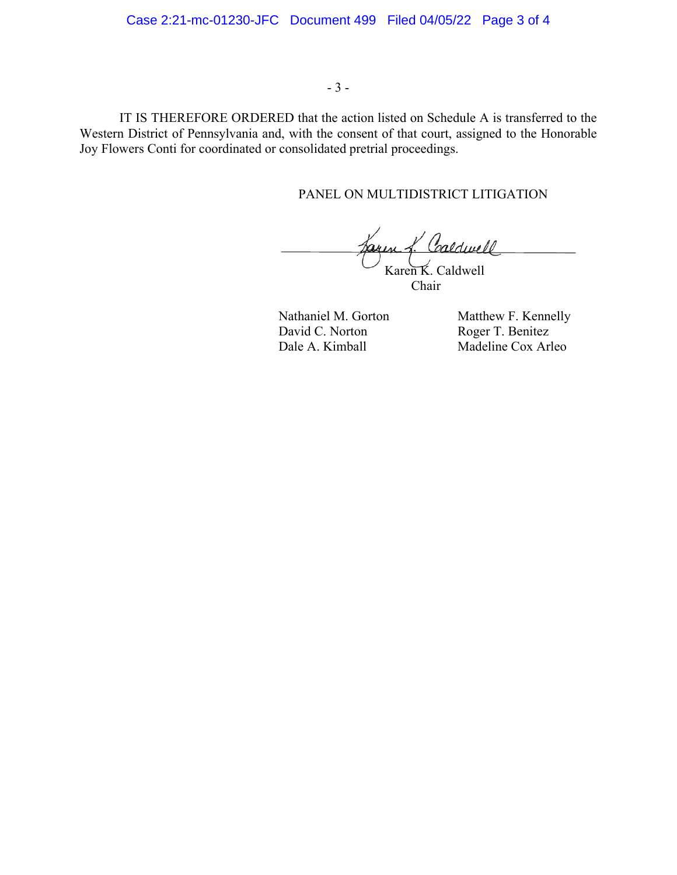### - 3 -

IT IS THEREFORE ORDERED that the action listed on Schedule A is transferred to the Western District of Pennsylvania and, with the consent of that court, assigned to the Honorable Joy Flowers Conti for coordinated or consolidated pretrial proceedings.

# PANEL ON MULTIDISTRICT LITIGATION

Jaren f. Caldwell Karen K. Caldwell

Chair

David C. Norton Roger T. Benitez<br>
Dale A. Kimball Madeline Cox Arl

Nathaniel M. Gorton Matthew F. Kennelly Madeline Cox Arleo